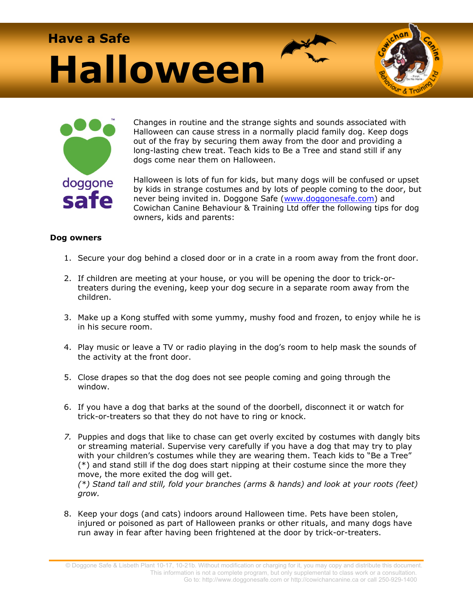# **Have a Safe Halloween**



Changes in routine and the strange sights and sounds associated with Halloween can cause stress in a normally placid family dog. Keep dogs out of the fray by securing them away from the door and providing a long-lasting chew treat. Teach kids to Be a Tree and stand still if any dogs come near them on Halloween.

Halloween is lots of fun for kids, but many dogs will be confused or upset by kids in strange costumes and by lots of people coming to the door, but never being invited in. Doggone Safe [\(www.doggonesafe.com\)](http://www.doggonesafe.com/) and Cowichan Canine Behaviour & Training Ltd offer the following tips for dog owners, kids and parents:

## **Dog owners**

- 1. Secure your dog behind a closed door or in a crate in a room away from the front door.
- 2. If children are meeting at your house, or you will be opening the door to trick-ortreaters during the evening, keep your dog secure in a separate room away from the children.
- 3. Make up a Kong stuffed with some yummy, mushy food and frozen, to enjoy while he is in his secure room.
- 4. Play music or leave a TV or radio playing in the dog's room to help mask the sounds of the activity at the front door.
- 5. Close drapes so that the dog does not see people coming and going through the window.
- 6. If you have a dog that barks at the sound of the doorbell, disconnect it or watch for trick-or-treaters so that they do not have to ring or knock.
- *7.* Puppies and dogs that like to chase can get overly excited by costumes with dangly bits or streaming material. Supervise very carefully if you have a dog that may try to play with your children's costumes while they are wearing them. Teach kids to "Be a Tree" (\*) and stand still if the dog does start nipping at their costume since the more they move, the more exited the dog will get. *(\*) Stand tall and still, fold your branches (arms & hands) and look at your roots (feet) grow.*
- 8. Keep your dogs (and cats) indoors around Halloween time. Pets have been stolen, injured or poisoned as part of Halloween pranks or other rituals, and many dogs have run away in fear after having been frightened at the door by trick-or-treaters.

© Doggone Safe & Lisbeth Plant 10-17, 10-21b. Without modification or charging for it, you may copy and distribute this document. This information is not a complete program, but only supplemental to class work or a consultation. Go to: http://www.doggonesafe.com or http://cowichancanine.ca or call 250-929-1400